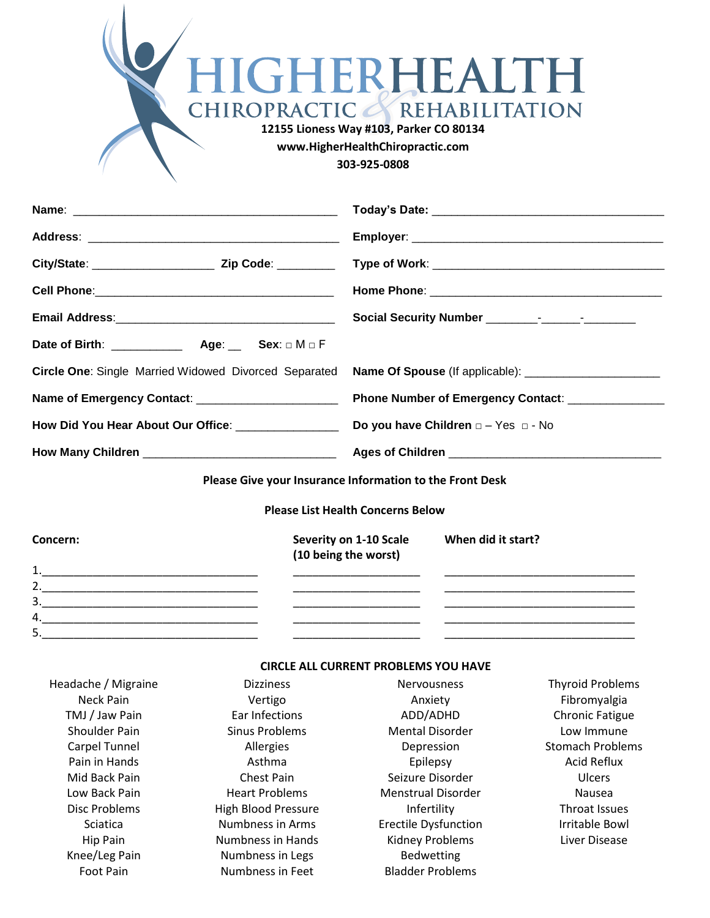| HIGHERHEALTH<br>CHIROPRACTIC & REHABILITATION<br>12155 Lioness Way #103, Parker CO 80134<br>www.HigherHealthChiropractic.com |
|------------------------------------------------------------------------------------------------------------------------------|
|                                                                                                                              |
| 303-925-0808                                                                                                                 |
|                                                                                                                              |

|                                                     | Circle One: Single Married Widowed Divorced Separated Name Of Spouse (If applicable): ____________________ |
|-----------------------------------------------------|------------------------------------------------------------------------------------------------------------|
| Name of Emergency Contact: ________________________ | Phone Number of Emergency Contact: ________________                                                        |
|                                                     |                                                                                                            |
|                                                     |                                                                                                            |

**Please Give your Insurance Information to the Front Desk**

**Please List Health Concerns Below**

| Concern: | Severity on 1-10 Scale<br>(10 being the worst) | When did it start? |
|----------|------------------------------------------------|--------------------|
| 1        |                                                |                    |
| 2.       |                                                |                    |
| 3.       |                                                |                    |
| 4.       |                                                |                    |
| 5.       |                                                |                    |

# **CIRCLE ALL CURRENT PROBLEMS YOU HAVE**

| Headache / Migraine | <b>Dizziness</b>      | <b>Nervousness</b>          | <b>Thyroid Problems</b> |
|---------------------|-----------------------|-----------------------------|-------------------------|
| Neck Pain           | Vertigo               | Anxiety                     | Fibromyalgia            |
| TMJ / Jaw Pain      | Ear Infections        | ADD/ADHD                    | <b>Chronic Fatigue</b>  |
| Shoulder Pain       | Sinus Problems        | <b>Mental Disorder</b>      | Low Immune              |
| Carpel Tunnel       | Allergies             | Depression                  | <b>Stomach Problems</b> |
| Pain in Hands       | Asthma                | Epilepsy                    | <b>Acid Reflux</b>      |
| Mid Back Pain       | <b>Chest Pain</b>     | Seizure Disorder            | <b>Ulcers</b>           |
| Low Back Pain       | <b>Heart Problems</b> | <b>Menstrual Disorder</b>   | Nausea                  |
| Disc Problems       | High Blood Pressure   | Infertility                 | Throat Issues           |
| <b>Sciatica</b>     | Numbness in Arms      | <b>Erectile Dysfunction</b> | Irritable Bowl          |
| Hip Pain            | Numbness in Hands     | <b>Kidney Problems</b>      | Liver Disease           |
| Knee/Leg Pain       | Numbness in Legs      | Bedwetting                  |                         |
| <b>Foot Pain</b>    | Numbness in Feet      | <b>Bladder Problems</b>     |                         |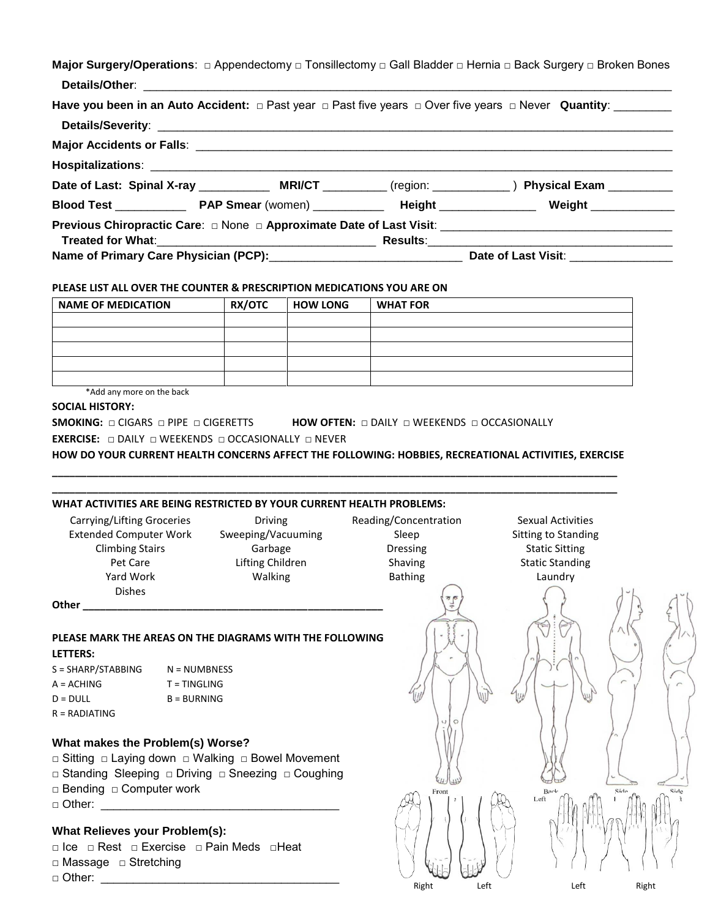|  | Major Surgery/Operations: □ Appendectomy □ Tonsillectomy □ Gall Bladder □ Hernia □ Back Surgery □ Broken Bones<br>Have you been in an Auto Accident: $\Box$ Past year $\Box$ Past five years $\Box$ Over five years $\Box$ Never Quantity: ________<br>Date of Last: Spinal X-ray _______________ MRI/CT ___________ (region: ______________) Physical Exam _________<br><b>Previous Chiropractic Care:</b> □ None □ Approximate Date of Last Visit: _____________________________ |
|--|------------------------------------------------------------------------------------------------------------------------------------------------------------------------------------------------------------------------------------------------------------------------------------------------------------------------------------------------------------------------------------------------------------------------------------------------------------------------------------|

### **PLEASE LIST ALL OVER THE COUNTER & PRESCRIPTION MEDICATIONS YOU ARE ON**

| <b>NAME OF MEDICATION</b> | <b>RX/OTC</b> | <b>HOW LONG</b> | <b>WHAT FOR</b> |
|---------------------------|---------------|-----------------|-----------------|
|                           |               |                 |                 |
|                           |               |                 |                 |
|                           |               |                 |                 |
|                           |               |                 |                 |
|                           |               |                 |                 |

\*Add any more on the back

### **SOCIAL HISTORY:**

**SMOKING: □** CIGARS □ PIPE □ CIGERETTS **HOW OFTEN: □** DAILY □ WEEKENDS □ OCCASIONALLY

**EXERCISE: □** DAILY □ WEEKENDS □ OCCASIONALLY □ NEVER

**HOW DO YOUR CURRENT HEALTH CONCERNS AFFECT THE FOLLOWING: HOBBIES, RECREATIONAL ACTIVITIES, EXERCISE \_\_\_\_\_\_\_\_\_\_\_\_\_\_\_\_\_\_\_\_\_\_\_\_\_\_\_\_\_\_\_\_\_\_\_\_\_\_\_\_\_\_\_\_\_\_\_\_\_\_\_\_\_\_\_\_\_\_\_\_\_\_\_\_\_\_\_\_\_\_\_\_\_\_\_\_\_\_\_\_\_\_\_\_\_\_\_\_\_\_\_\_\_\_\_\_\_\_**

**\_\_\_\_\_\_\_\_\_\_\_\_\_\_\_\_\_\_\_\_\_\_\_\_\_\_\_\_\_\_\_\_\_\_\_\_\_\_\_\_\_\_\_\_\_\_\_\_\_\_\_\_\_\_\_\_\_\_\_\_\_\_\_\_\_\_\_\_\_\_\_\_\_\_\_\_\_\_\_\_\_\_\_\_\_\_\_\_\_\_\_\_\_\_\_\_\_\_**

### **WHAT ACTIVITIES ARE BEING RESTRICTED BY YOUR CURRENT HEALTH PROBLEMS:**

| Carrying/Lifting Grocerie    |
|------------------------------|
| <b>Extended Computer Wor</b> |
| <b>Climbing Stairs</b>       |
| Pet Care                     |
| Yard Work                    |
| Dishes                       |
|                              |

Frame Sweeping/Vacuuming Sleep Sitting to Standing Super Lifting Children Shaving Shaving Static Standing Yard Work **Malking** Communication Bathing Laundry

g/Lifting Groceries **Carry Concentration** Reading/Concentration Sexual Activities Garbage **Dressing** Dressing Static Sitting

Right Left Left Left Right

Back Left

Side

**Other \_\_\_\_\_\_\_\_\_\_\_\_\_\_\_\_\_\_\_\_\_\_\_\_\_\_\_\_\_\_\_\_\_\_\_\_\_\_\_\_\_\_\_\_\_\_\_\_\_\_\_\_**

# **PLEASE MARK THE AREAS ON THE DIAGRAMS WITH THE FOLLOWING**

## **LETTERS:**

| $S = SHARP/STABBING$ | $N = NUMBNESS$ |
|----------------------|----------------|
| $A = ACHING$         | $T = TINGLING$ |
| $D = DULL$           | $B = BURNING$  |
| $R = RADIATING$      |                |

## **What makes the Problem(s) Worse?**

□ Sitting □ Laying down □ Walking □ Bowel Movement □ Standing Sleeping □ Driving □ Sneezing □ Coughing □ Bending □ Computer work  $\Box$  Other:

# **What Relieves your Problem(s):**

□ Ice □ Rest □ Exercise □ Pain Meds □Heat □ Massage □ Stretching  $\Box$  Other: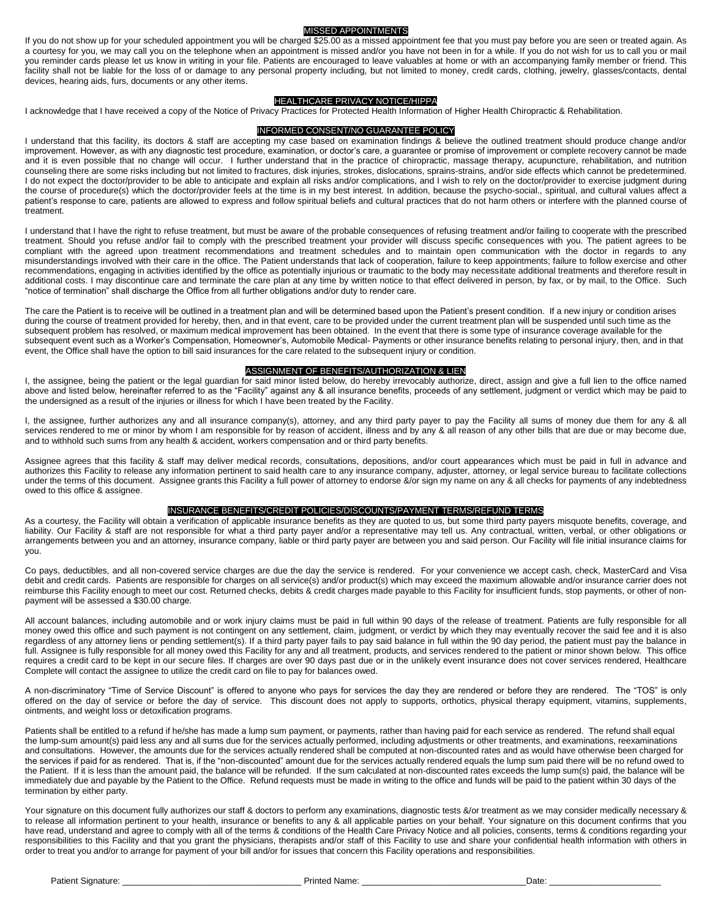### MISSED APPOINTMENTS

If you do not show up for your scheduled appointment you will be charged \$25.00 as a missed appointment fee that you must pay before you are seen or treated again. As a courtesy for you, we may call you on the telephone when an appointment is missed and/or you have not been in for a while. If you do not wish for us to call you or mail you reminder cards please let us know in writing in your file. Patients are encouraged to leave valuables at home or with an accompanying family member or friend. This facility shall not be liable for the loss of or damage to any personal property including, but not limited to money, credit cards, clothing, jewelry, glasses/contacts, dental devices, hearing aids, furs, documents or any other items.

#### HEALTHCARE PRIVACY NOTICE/HIPPA

I acknowledge that I have received a copy of the Notice of Privacy Practices for Protected Health Information of Higher Health Chiropractic & Rehabilitation.

#### INFORMED CONSENT/NO GUARANTEE POLICY

I understand that this facility, its doctors & staff are accepting my case based on examination findings & believe the outlined treatment should produce change and/or improvement. However, as with any diagnostic test procedure, examination, or doctor's care, a guarantee or promise of improvement or complete recovery cannot be made and it is even possible that no change will occur. I further understand that in the practice of chiropractic, massage therapy, acupuncture, rehabilitation, and nutrition counseling there are some risks including but not limited to fractures, disk injuries, strokes, dislocations, sprains-strains, and/or side effects which cannot be predetermined. I do not expect the doctor/provider to be able to anticipate and explain all risks and/or complications, and I wish to rely on the doctor/provider to exercise judgment during the course of procedure(s) which the doctor/provider feels at the time is in my best interest. In addition, because the psycho-social., spiritual, and cultural values affect a patient's response to care, patients are allowed to express and follow spiritual beliefs and cultural practices that do not harm others or interfere with the planned course of treatment.

I understand that I have the right to refuse treatment, but must be aware of the probable consequences of refusing treatment and/or failing to cooperate with the prescribed treatment. Should you refuse and/or fail to comply with the prescribed treatment your provider will discuss specific consequences with you. The patient agrees to be compliant with the agreed upon treatment recommendations and treatment schedules and to maintain open communication with the doctor in regards to any misunderstandings involved with their care in the office. The Patient understands that lack of cooperation, failure to keep appointments; failure to follow exercise and other recommendations, engaging in activities identified by the office as potentially injurious or traumatic to the body may necessitate additional treatments and therefore result in additional costs. I may discontinue care and terminate the care plan at any time by written notice to that effect delivered in person, by fax, or by mail, to the Office. Such "notice of termination" shall discharge the Office from all further obligations and/or duty to render care.

The care the Patient is to receive will be outlined in a treatment plan and will be determined based upon the Patient's present condition. If a new injury or condition arises during the course of treatment provided for hereby, then, and in that event, care to be provided under the current treatment plan will be suspended until such time as the subsequent problem has resolved, or maximum medical improvement has been obtained. In the event that there is some type of insurance coverage available for the subsequent event such as a Worker's Compensation, Homeowner's, Automobile Medical- Payments or other insurance benefits relating to personal injury, then, and in that event, the Office shall have the option to bill said insurances for the care related to the subsequent injury or condition.

### ASSIGNMENT OF BENEFITS/AUTHORIZATION & LIEN

I, the assignee, being the patient or the legal guardian for said minor listed below, do hereby irrevocably authorize, direct, assign and give a full lien to the office named above and listed below, hereinafter referred to as the "Facility" against any & all insurance benefits, proceeds of any settlement, judgment or verdict which may be paid to the undersigned as a result of the injuries or illness for which I have been treated by the Facility.

I, the assignee, further authorizes any and all insurance company(s), attorney, and any third party payer to pay the Facility all sums of money due them for any & all services rendered to me or minor by whom I am responsible for by reason of accident, illness and by any & all reason of any other bills that are due or may become due, and to withhold such sums from any health & accident, workers compensation and or third party benefits.

Assignee agrees that this facility & staff may deliver medical records, consultations, depositions, and/or court appearances which must be paid in full in advance and authorizes this Facility to release any information pertinent to said health care to any insurance company, adjuster, attorney, or legal service bureau to facilitate collections under the terms of this document. Assignee grants this Facility a full power of attorney to endorse &/or sign my name on any & all checks for payments of any indebtedness owed to this office & assignee.

### INSURANCE BENEFITS/CREDIT POLICIES/DISCOUNTS/PAYMENT TERMS/REFUND TERMS

As a courtesy, the Facility will obtain a verification of applicable insurance benefits as they are quoted to us, but some third party payers misquote benefits, coverage, and liability. Our Facility & staff are not responsible for what a third party payer and/or a representative may tell us. Any contractual, written, verbal, or other obligations or arrangements between you and an attorney, insurance company, liable or third party payer are between you and said person. Our Facility will file initial insurance claims for you.

Co pays, deductibles, and all non-covered service charges are due the day the service is rendered. For your convenience we accept cash, check, MasterCard and Visa debit and credit cards. Patients are responsible for charges on all service(s) and/or product(s) which may exceed the maximum allowable and/or insurance carrier does not reimburse this Facility enough to meet our cost. Returned checks, debits & credit charges made payable to this Facility for insufficient funds, stop payments, or other of nonpayment will be assessed a \$30.00 charge.

All account balances, including automobile and or work injury claims must be paid in full within 90 days of the release of treatment. Patients are fully responsible for all money owed this office and such payment is not contingent on any settlement, claim, judgment, or verdict by which they may eventually recover the said fee and it is also regardless of any attorney liens or pending settlement(s). If a third party payer fails to pay said balance in full within the 90 day period, the patient must pay the balance in full. Assignee is fully responsible for all money owed this Facility for any and all treatment, products, and services rendered to the patient or minor shown below. This office requires a credit card to be kept in our secure files. If charges are over 90 days past due or in the unlikely event insurance does not cover services rendered, Healthcare Complete will contact the assignee to utilize the credit card on file to pay for balances owed.

A non-discriminatory "Time of Service Discount" is offered to anyone who pays for services the day they are rendered or before they are rendered. The "TOS" is only offered on the day of service or before the day of service. This discount does not apply to supports, orthotics, physical therapy equipment, vitamins, supplements, ointments, and weight loss or detoxification programs.

Patients shall be entitled to a refund if he/she has made a lump sum payment, or payments, rather than having paid for each service as rendered. The refund shall equal the lump-sum amount(s) paid less any and all sums due for the services actually performed, including adjustments or other treatments, and examinations, reexaminations and consultations. However, the amounts due for the services actually rendered shall be computed at non-discounted rates and as would have otherwise been charged for the services if paid for as rendered. That is, if the "non-discounted" amount due for the services actually rendered equals the lump sum paid there will be no refund owed to the Patient. If it is less than the amount paid, the balance will be refunded. If the sum calculated at non-discounted rates exceeds the lump sum(s) paid, the balance will be immediately due and payable by the Patient to the Office. Refund requests must be made in writing to the office and funds will be paid to the patient within 30 days of the termination by either party.

Your signature on this document fully authorizes our staff & doctors to perform any examinations, diagnostic tests &/or treatment as we may consider medically necessary & to release all information pertinent to your health, insurance or benefits to any & all applicable parties on your behalf. Your signature on this document confirms that you have read, understand and agree to comply with all of the terms & conditions of the Health Care Privacy Notice and all policies, consents, terms & conditions regarding your responsibilities to this Facility and that you grant the physicians, therapists and/or staff of this Facility to use and share your confidential health information with others in order to treat you and/or to arrange for payment of your bill and/or for issues that concern this Facility operations and responsibilities.